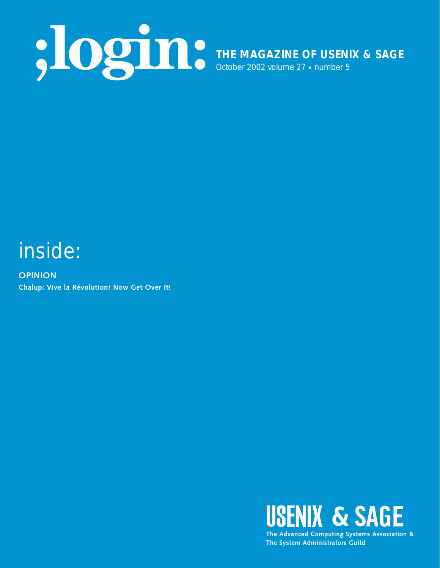

## inside:

**OPINION Chalup: Vive la Révolution! Now Get Over It!**



**The System Administrators Guild**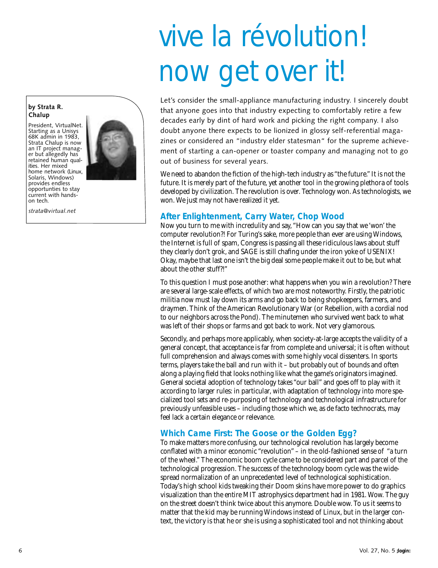# vive la révolution! now get over it!

Let's consider the small-appliance manufacturing industry. I sincerely doubt that anyone goes into that industry expecting to comfortably retire a few decades early by dint of hard work and picking the right company. I also doubt anyone there expects to be lionized in glossy self-referential magazines or considered an "industry elder statesman" for the supreme achievement of starting a can-opener or toaster company and managing not to go out of business for several years.

We need to abandon the fiction of the high-tech industry as "the future." It is not the future. It is merely part of the future, yet another tool in the growing plethora of tools developed by civilization. The revolution is over. Technology won. As technologists, we won. We just may not have realized it yet.

#### **After Enlightenment, Carry Water, Chop Wood**

Now you turn to me with incredulity and say, "How can you say that we 'won' the computer revolution?! For Turing's sake, more people than ever are using Windows, the Internet is full of spam, Congress is passing all these ridiculous laws about stuff they clearly don't grok, and SAGE is still chafing under the iron yoke of USENIX! Okay, maybe that last one isn't the big deal some people make it out to be, but what about the other stuff?!"

To this question I must pose another: what happens when you win a revolution? There are several large-scale effects, of which two are most noteworthy. Firstly, the patriotic militia now must lay down its arms and go back to being shopkeepers, farmers, and draymen. Think of the American Revolutionary War (or Rebellion, with a cordial nod to our neighbors across the Pond). The minutemen who survived went back to what was left of their shops or farms and got back to work. Not very glamorous.

Secondly, and perhaps more applicably, when society-at-large accepts the validity of a general concept, that acceptance is far from complete and universal; it is often without full comprehension and always comes with some highly vocal dissenters. In sports terms, players take the ball and run with it – but probably out of bounds and often along a playing field that looks nothing like what the game's originators imagined. General societal adoption of technology takes "our ball" and goes off to play with it according to larger rules: in particular, with adaptation of technology into more specialized tool sets and re-purposing of technology and technological infrastructure for previously unfeasible uses – including those which we, as de facto technocrats, may feel lack a certain elegance or relevance.

#### **Which Came First: The Goose or the Golden Egg?**

To make matters more confusing, our technological revolution has largely become conflated with a minor economic "revolution" – in the old-fashioned sense of "a turn of the wheel." The economic boom cycle came to be considered part and parcel of the technological progression. The success of the technology boom cycle was the widespread normalization of an unprecedented level of technological sophistication. Today's high school kids tweaking their Doom skins have more power to do graphics visualization than the entire MIT astrophysics department had in 1981. Wow. The guy on the street doesn't think twice about this anymore. Double wow. To us it seems to matter that the kid may be running Windows instead of Linux, but in the larger context, the victory is that he or she is using a sophisticated tool and not thinking about

#### **by Strata R. Chalup**

President, VirtualNet. Starting as a Unisys 68K admin in 1983, Strata Chalup is now an IT project manager but allegedly has retained human qualities. Her mixed home network (Linux, Solaris, Windows) provides endless opportunties to stay current with handson tech.

*strata@virtual.net*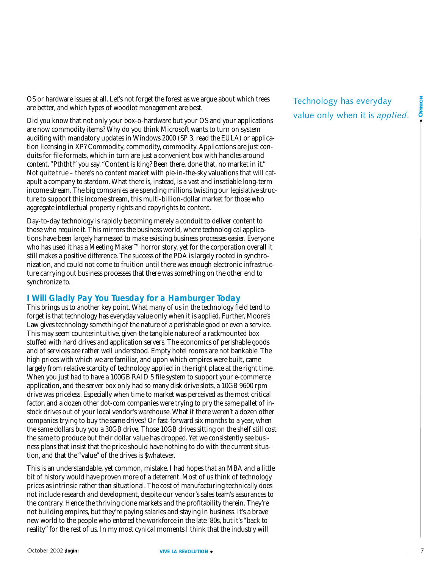OS or hardware issues at all. Let's not forget the forest as we argue about which trees are better, and which types of woodlot management are best.

Did you know that not only your box-o-hardware but your OS and your applications are now commodity items? Why do you think Microsoft wants to turn on system auditing with mandatory updates in Windows 2000 (SP 3, read the EULA) or application licensing in XP? Commodity, commodity, commodity. Applications are just conduits for file formats, which in turn are just a convenient box with handles around *content*. "Pththt!" you say. "Content is king? Been there, done that, no market in it." Not quite true – there's no content market with pie-in-the-sky valuations that will catapult a company to stardom. What there is, instead, is a vast and insatiable long-term income stream. The big companies are spending millions twisting our legislative structure to support this income stream, this multi-billion-dollar market for those who aggregate intellectual property rights and copyrights to content.

Day-to-day technology is rapidly becoming merely a conduit to deliver content to those who require it. This mirrors the business world, where technological applications have been largely harnessed to make existing business processes easier. Everyone who has used it has a Meeting Maker™ horror story, yet for the corporation overall it still makes a positive difference. The success of the PDA is largely rooted in synchronization, and could not come to fruition until there was enough electronic infrastructure carrying out business processes that there was something on the other end to synchronize *to*.

#### **I Will Gladly Pay You Tuesday for a Hamburger Today**

This brings us to another key point. What many of us in the technology field tend to forget is that technology has everyday value only when it is *applied*. Further, Moore's Law gives technology something of the nature of a perishable good or even a service. This may seem counterintuitive, given the tangible nature of a rackmounted box stuffed with hard drives and application servers. The economics of perishable goods and of services are rather well understood. Empty hotel rooms are not bankable. The high prices with which we are familiar, and upon which empires were built, came largely from relative scarcity of technology applied in the right place at the right time. When you just *had* to have a 100GB RAID 5 file system to support your e-commerce application, and the server box only had so many disk drive slots, a 10GB 9600 rpm drive was priceless. Especially when time to market was perceived as *the* most critical factor, and a dozen other dot-com companies were trying to pry the same pallet of instock drives out of your local vendor's warehouse. What if there weren't a dozen other companies trying to buy the same drives? Or fast-forward six months to a year, when the same dollars buy you a 30GB drive. Those 10GB drives sitting on the shelf still cost the same to produce but their dollar value has dropped. Yet we consistently see business plans that insist that the price should have nothing to do with the current situation, and that the "value" of the drives is \$whatever.

This is an understandable, yet common, mistake. I had hopes that an MBA and a little bit of history would have proven more of a deterrent. Most of us think of technology prices as intrinsic rather than situational. The cost of manufacturing technically does not include research and development, despite our vendor's sales team's assurances to the contrary. Hence the thriving clone markets and the profitability therein. They're not building empires, but they're paying salaries and staying in business. It's a brave new world to the people who entered the workforce in the late '80s, but it's "back to reality" for the rest of us. In my most cynical moments I think that the industry will

### Technology has everyday value only when it is *applied*.

● **OPINION**